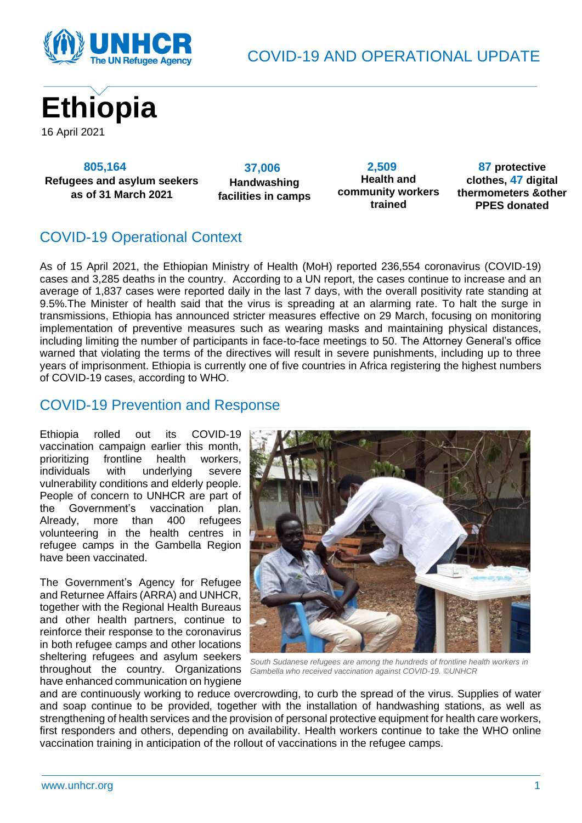

COVID-19 AND OPERATIONAL UPDATE



 **805,164 Refugees and asylum seekers as of 31 March 2021**

 **37,006 Handwashing facilities in camps**

 **2,509 Health and community workers trained**

 **87 protective clothes, 47 digital thermometers &other PPES donated**

# COVID-19 Operational Context

As of 15 April 2021, the Ethiopian Ministry of Health (MoH) reported 236,554 coronavirus (COVID-19) cases and 3,285 deaths in the country. According to a UN report, the cases continue to increase and an average of 1,837 cases were reported daily in the last 7 days, with the overall positivity rate standing at 9.5%.The Minister of health said that the virus is spreading at an alarming rate. To halt the surge in transmissions, Ethiopia has announced stricter measures effective on 29 March, focusing on monitoring implementation of preventive measures such as wearing masks and maintaining physical distances, including limiting the number of participants in face-to-face meetings to 50. The Attorney General's office warned that violating the terms of the directives will result in severe punishments, including up to three years of imprisonment. Ethiopia is currently one of five countries in Africa registering the highest numbers of COVID-19 cases, according to WHO.

#### COVID-19 Prevention and Response

Ethiopia rolled out its COVID-19 vaccination campaign earlier this month, prioritizing frontline health workers, individuals with underlying severe vulnerability conditions and elderly people. People of concern to UNHCR are part of the Government's vaccination plan. Already, more than 400 refugees volunteering in the health centres in refugee camps in the Gambella Region have been vaccinated.

The Government's Agency for Refugee and Returnee Affairs (ARRA) and UNHCR, together with the Regional Health Bureaus and other health partners, continue to reinforce their response to the coronavirus in both refugee camps and other locations sheltering refugees and asylum seekers throughout the country. Organizations have enhanced communication on hygiene



*South Sudanese refugees are among the hundreds of frontline health workers in Gambella who received vaccination against COVID-19. ©UNHCR*

and are continuously working to reduce overcrowding, to curb the spread of the virus. Supplies of water and soap continue to be provided, together with the installation of handwashing stations, as well as strengthening of health services and the provision of personal protective equipment for health care workers, first responders and others, depending on availability. Health workers continue to take the WHO online vaccination training in anticipation of the rollout of vaccinations in the refugee camps.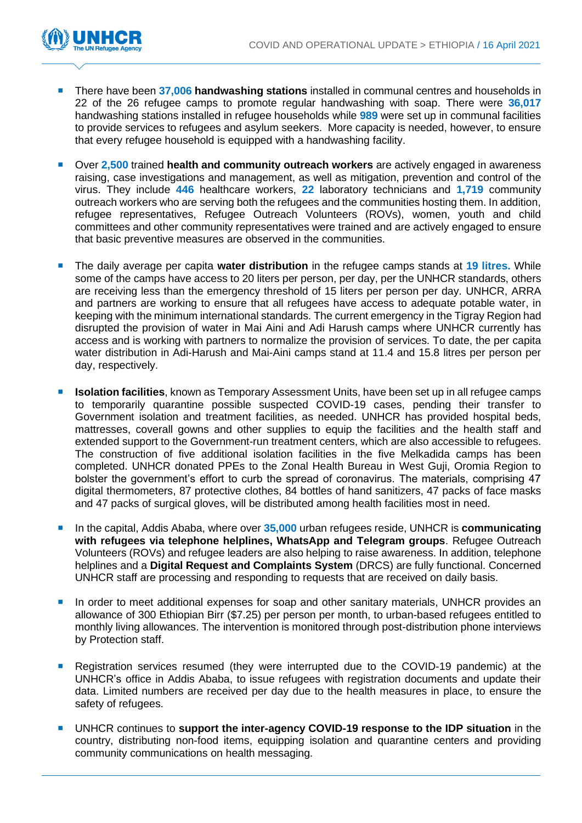

- There have been **37,006 handwashing stations** installed in communal centres and households in 22 of the 26 refugee camps to promote regular handwashing with soap. There were **36,017** handwashing stations installed in refugee households while **989** were set up in communal facilities to provide services to refugees and asylum seekers. More capacity is needed, however, to ensure that every refugee household is equipped with a handwashing facility.
- Over **2,500** trained **health and community outreach workers** are actively engaged in awareness raising, case investigations and management, as well as mitigation, prevention and control of the virus. They include **446** healthcare workers, **22** laboratory technicians and **1,719** community outreach workers who are serving both the refugees and the communities hosting them. In addition, refugee representatives, Refugee Outreach Volunteers (ROVs), women, youth and child committees and other community representatives were trained and are actively engaged to ensure that basic preventive measures are observed in the communities.
- The daily average per capita **water distribution** in the refugee camps stands at **19 litres.** While some of the camps have access to 20 liters per person, per day, per the UNHCR standards, others are receiving less than the emergency threshold of 15 liters per person per day. UNHCR, ARRA and partners are working to ensure that all refugees have access to adequate potable water, in keeping with the minimum international standards. The current emergency in the Tigray Region had disrupted the provision of water in Mai Aini and Adi Harush camps where UNHCR currently has access and is working with partners to normalize the provision of services. To date, the per capita water distribution in Adi-Harush and Mai-Aini camps stand at 11.4 and 15.8 litres per person per day, respectively.
- **Isolation facilities**, known as Temporary Assessment Units, have been set up in all refugee camps to temporarily quarantine possible suspected COVID-19 cases, pending their transfer to Government isolation and treatment facilities, as needed. UNHCR has provided hospital beds, mattresses, coverall gowns and other supplies to equip the facilities and the health staff and extended support to the Government-run treatment centers, which are also accessible to refugees. The construction of five additional isolation facilities in the five Melkadida camps has been completed. UNHCR donated PPEs to the Zonal Health Bureau in West Guji, Oromia Region to bolster the government's effort to curb the spread of coronavirus. The materials, comprising 47 digital thermometers, 87 protective clothes, 84 bottles of hand sanitizers, 47 packs of face masks and 47 packs of surgical gloves, will be distributed among health facilities most in need.
- In the capital, Addis Ababa, where over 35,000 urban refugees reside, UNHCR is **communicating with refugees via telephone helplines, WhatsApp and Telegram groups**. Refugee Outreach Volunteers (ROVs) and refugee leaders are also helping to raise awareness. In addition, telephone helplines and a **Digital Request and Complaints System** (DRCS) are fully functional. Concerned UNHCR staff are processing and responding to requests that are received on daily basis.
- In order to meet additional expenses for soap and other sanitary materials, UNHCR provides an allowance of 300 Ethiopian Birr (\$7.25) per person per month, to urban-based refugees entitled to monthly living allowances. The intervention is monitored through post-distribution phone interviews by Protection staff.
- **Registration services resumed (they were interrupted due to the COVID-19 pandemic) at the** UNHCR's office in Addis Ababa, to issue refugees with registration documents and update their data. Limited numbers are received per day due to the health measures in place, to ensure the safety of refugees.
- UNHCR continues to **support the inter-agency COVID-19 response to the IDP situation** in the country, distributing non-food items, equipping isolation and quarantine centers and providing community communications on health messaging.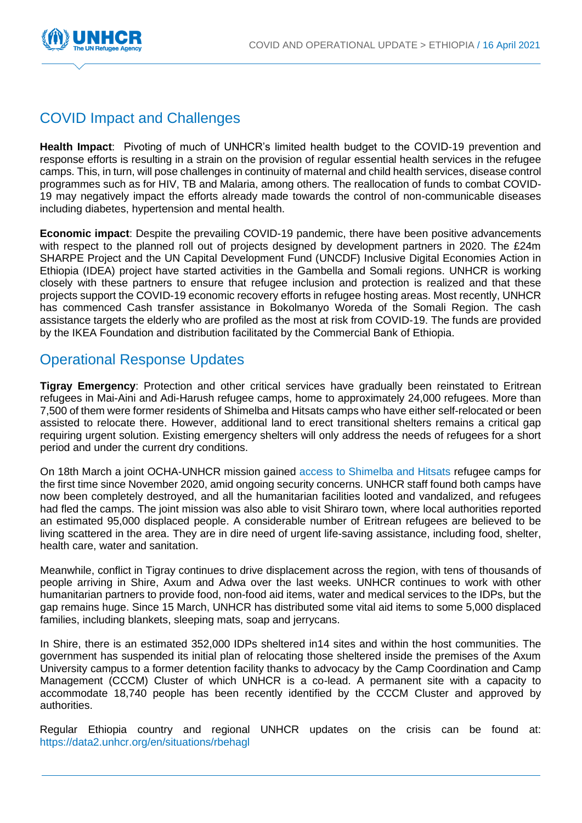

## COVID Impact and Challenges

**Health Impact**: Pivoting of much of UNHCR's limited health budget to the COVID-19 prevention and response efforts is resulting in a strain on the provision of regular essential health services in the refugee camps. This, in turn, will pose challenges in continuity of maternal and child health services, disease control programmes such as for HIV, TB and Malaria, among others. The reallocation of funds to combat COVID-19 may negatively impact the efforts already made towards the control of non-communicable diseases including diabetes, hypertension and mental health.

**Economic impact**: Despite the prevailing COVID-19 pandemic, there have been positive advancements with respect to the planned roll out of projects designed by development partners in 2020. The £24m SHARPE Project and the UN Capital Development Fund (UNCDF) Inclusive Digital Economies Action in Ethiopia (IDEA) project have started activities in the Gambella and Somali regions. UNHCR is working closely with these partners to ensure that refugee inclusion and protection is realized and that these projects support the COVID-19 economic recovery efforts in refugee hosting areas. Most recently, UNHCR has commenced Cash transfer assistance in Bokolmanyo Woreda of the Somali Region. The cash assistance targets the elderly who are profiled as the most at risk from COVID-19. The funds are provided by the IKEA Foundation and distribution facilitated by the Commercial Bank of Ethiopia.

### Operational Response Updates

**Tigray Emergency**: Protection and other critical services have gradually been reinstated to Eritrean refugees in Mai-Aini and Adi-Harush refugee camps, home to approximately 24,000 refugees. More than 7,500 of them were former residents of Shimelba and Hitsats camps who have either self-relocated or been assisted to relocate there. However, additional land to erect transitional shelters remains a critical gap requiring urgent solution. Existing emergency shelters will only address the needs of refugees for a short period and under the current dry conditions.

On 18th March a joint OCHA-UNHCR mission gained [access to Shimelba and Hitsats](https://www.unhcr.org/news/briefing/2021/3/605da0564/unhcr-reaches-destroyed-camps-northern-tigray.html) refugee camps for the first time since November 2020, amid ongoing security concerns. UNHCR staff found both camps have now been completely destroyed, and all the humanitarian facilities looted and vandalized, and refugees had fled the camps. The joint mission was also able to visit Shiraro town, where local authorities reported an estimated 95,000 displaced people. A considerable number of Eritrean refugees are believed to be living scattered in the area. They are in dire need of urgent life-saving assistance, including food, shelter, health care, water and sanitation.

Meanwhile, conflict in Tigray continues to drive displacement across the region, with tens of thousands of people arriving in Shire, Axum and Adwa over the last weeks. UNHCR continues to work with other humanitarian partners to provide food, non-food aid items, water and medical services to the IDPs, but the gap remains huge. Since 15 March, UNHCR has distributed some vital aid items to some 5,000 displaced families, including blankets, sleeping mats, soap and jerrycans.

In Shire, there is an estimated 352,000 IDPs sheltered in14 sites and within the host communities. The government has suspended its initial plan of relocating those sheltered inside the premises of the Axum University campus to a former detention facility thanks to advocacy by the Camp Coordination and Camp Management (CCCM) Cluster of which UNHCR is a co-lead. A permanent site with a capacity to accommodate 18,740 people has been recently identified by the CCCM Cluster and approved by authorities.

Regular Ethiopia country and regional UNHCR updates on the crisis can be found at: <https://data2.unhcr.org/en/situations/rbehagl>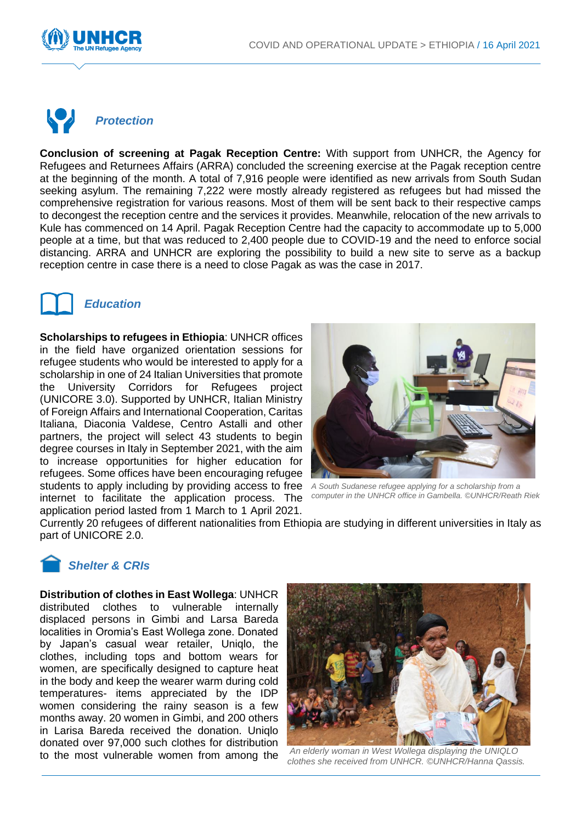



**Conclusion of screening at Pagak Reception Centre:** With support from UNHCR, the Agency for Refugees and Returnees Affairs (ARRA) concluded the screening exercise at the Pagak reception centre at the beginning of the month. A total of 7,916 people were identified as new arrivals from South Sudan seeking asylum. The remaining 7,222 were mostly already registered as refugees but had missed the comprehensive registration for various reasons. Most of them will be sent back to their respective camps to decongest the reception centre and the services it provides. Meanwhile, relocation of the new arrivals to Kule has commenced on 14 April. Pagak Reception Centre had the capacity to accommodate up to 5,000 people at a time, but that was reduced to 2,400 people due to COVID-19 and the need to enforce social distancing. ARRA and UNHCR are exploring the possibility to build a new site to serve as a backup reception centre in case there is a need to close Pagak as was the case in 2017.



#### *Education*

**Scholarships to refugees in Ethiopia**: UNHCR offices in the field have organized orientation sessions for refugee students who would be interested to apply for a scholarship in one of 24 Italian Universities that promote the University Corridors for Refugees project (UNICORE 3.0). Supported by UNHCR, Italian Ministry of Foreign Affairs and International Cooperation, Caritas Italiana, Diaconia Valdese, Centro Astalli and other partners, the project will select 43 students to begin degree courses in Italy in September 2021, with the aim to increase opportunities for higher education for refugees. Some offices have been encouraging refugee students to apply including by providing access to free internet to facilitate the application process. The application period lasted from 1 March to 1 April 2021.



*A South Sudanese refugee applying for a scholarship from a computer in the UNHCR office in Gambella. ©UNHCR/Reath Riek*

Currently 20 refugees of different nationalities from Ethiopia are studying in different universities in Italy as part of UNICORE 2.0.

#### *Shelter & CRIs*

**Distribution of clothes in East Wollega**: UNHCR distributed clothes to vulnerable internally displaced persons in Gimbi and Larsa Bareda localities in Oromia's East Wollega zone. Donated by Japan's casual wear retailer, Uniqlo, the clothes, including tops and bottom wears for women, are specifically designed to capture heat in the body and keep the wearer warm during cold temperatures- items appreciated by the IDP women considering the rainy season is a few months away. 20 women in Gimbi, and 200 others in Larisa Bareda received the donation. Uniqlo donated over 97,000 such clothes for distribution to the most vulnerable women from among the



*An elderly woman in West Wollega displaying the UNIQLO clothes she received from UNHCR. ©UNHCR/Hanna Qassis.*